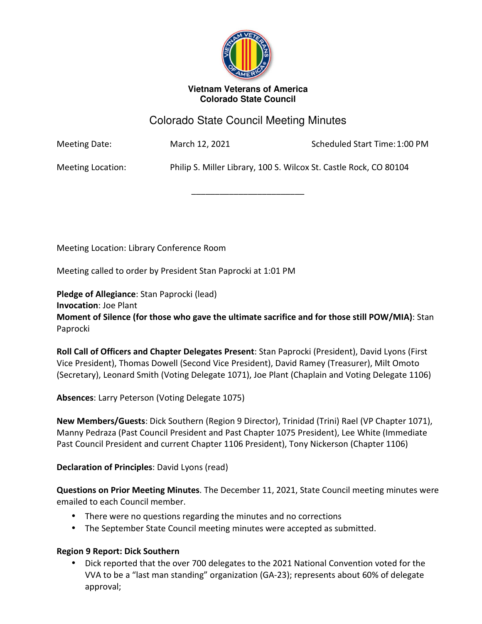

#### **Vietnam Veterans of America Colorado State Council**

# Colorado State Council Meeting Minutes

\_\_\_\_\_\_\_\_\_\_\_\_\_\_\_\_\_\_\_\_\_\_\_\_

Meeting Date: March 12, 2021 Scheduled Start Time: 1:00 PM

Meeting Location: Philip S. Miller Library, 100 S. Wilcox St. Castle Rock, CO 80104

Meeting Location: Library Conference Room

Meeting called to order by President Stan Paprocki at 1:01 PM

**Pledge of Allegiance**: Stan Paprocki (lead)

**Invocation**: Joe Plant

**Moment of Silence (for those who gave the ultimate sacrifice and for those still POW/MIA)**: Stan Paprocki

**Roll Call of Officers and Chapter Delegates Present**: Stan Paprocki (President), David Lyons (First Vice President), Thomas Dowell (Second Vice President), David Ramey (Treasurer), Milt Omoto (Secretary), Leonard Smith (Voting Delegate 1071), Joe Plant (Chaplain and Voting Delegate 1106)

**Absences**: Larry Peterson (Voting Delegate 1075)

**New Members/Guests**: Dick Southern (Region 9 Director), Trinidad (Trini) Rael (VP Chapter 1071), Manny Pedraza (Past Council President and Past Chapter 1075 President), Lee White (Immediate Past Council President and current Chapter 1106 President), Tony Nickerson (Chapter 1106)

#### **Declaration of Principles**: David Lyons (read)

**Questions on Prior Meeting Minutes**. The December 11, 2021, State Council meeting minutes were emailed to each Council member.

- There were no questions regarding the minutes and no corrections
- The September State Council meeting minutes were accepted as submitted.

#### **Region 9 Report: Dick Southern**

• Dick reported that the over 700 delegates to the 2021 National Convention voted for the VVA to be a "last man standing" organization (GA-23); represents about 60% of delegate approval;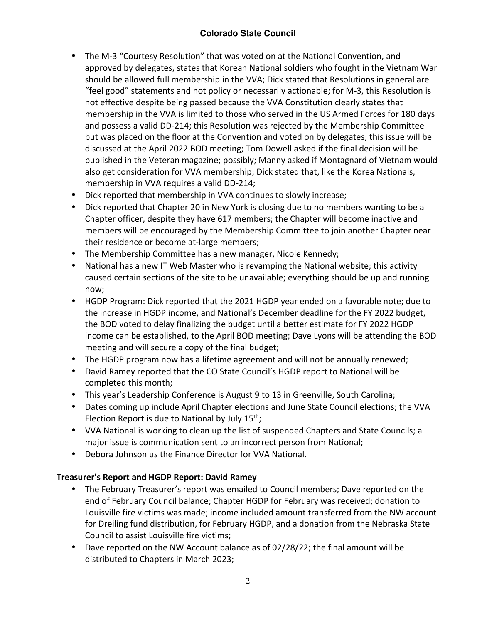# **Colorado State Council**

- The M-3 "Courtesy Resolution" that was voted on at the National Convention, and approved by delegates, states that Korean National soldiers who fought in the Vietnam War should be allowed full membership in the VVA; Dick stated that Resolutions in general are "feel good" statements and not policy or necessarily actionable; for M-3, this Resolution is not effective despite being passed because the VVA Constitution clearly states that membership in the VVA is limited to those who served in the US Armed Forces for 180 days and possess a valid DD-214; this Resolution was rejected by the Membership Committee but was placed on the floor at the Convention and voted on by delegates; this issue will be discussed at the April 2022 BOD meeting; Tom Dowell asked if the final decision will be published in the Veteran magazine; possibly; Manny asked if Montagnard of Vietnam would also get consideration for VVA membership; Dick stated that, like the Korea Nationals, membership in VVA requires a valid DD-214;
- Dick reported that membership in VVA continues to slowly increase;
- Dick reported that Chapter 20 in New York is closing due to no members wanting to be a Chapter officer, despite they have 617 members; the Chapter will become inactive and members will be encouraged by the Membership Committee to join another Chapter near their residence or become at-large members;
- The Membership Committee has a new manager, Nicole Kennedy;
- National has a new IT Web Master who is revamping the National website; this activity caused certain sections of the site to be unavailable; everything should be up and running now;
- HGDP Program: Dick reported that the 2021 HGDP year ended on a favorable note; due to the increase in HGDP income, and National's December deadline for the FY 2022 budget, the BOD voted to delay finalizing the budget until a better estimate for FY 2022 HGDP income can be established, to the April BOD meeting; Dave Lyons will be attending the BOD meeting and will secure a copy of the final budget;
- The HGDP program now has a lifetime agreement and will not be annually renewed;
- David Ramey reported that the CO State Council's HGDP report to National will be completed this month;
- This year's Leadership Conference is August 9 to 13 in Greenville, South Carolina;
- Dates coming up include April Chapter elections and June State Council elections; the VVA Election Report is due to National by July  $15<sup>th</sup>$ ;
- VVA National is working to clean up the list of suspended Chapters and State Councils; a major issue is communication sent to an incorrect person from National;
- Debora Johnson us the Finance Director for VVA National.

#### **Treasurer's Report and HGDP Report: David Ramey**

- The February Treasurer's report was emailed to Council members; Dave reported on the end of February Council balance; Chapter HGDP for February was received; donation to Louisville fire victims was made; income included amount transferred from the NW account for Dreiling fund distribution, for February HGDP, and a donation from the Nebraska State Council to assist Louisville fire victims;
- Dave reported on the NW Account balance as of 02/28/22; the final amount will be distributed to Chapters in March 2023;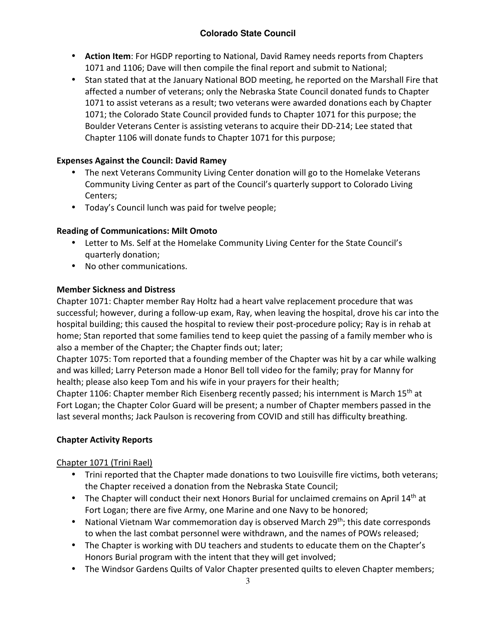# **Colorado State Council**

- **Action Item**: For HGDP reporting to National, David Ramey needs reports from Chapters 1071 and 1106; Dave will then compile the final report and submit to National;
- Stan stated that at the January National BOD meeting, he reported on the Marshall Fire that affected a number of veterans; only the Nebraska State Council donated funds to Chapter 1071 to assist veterans as a result; two veterans were awarded donations each by Chapter 1071; the Colorado State Council provided funds to Chapter 1071 for this purpose; the Boulder Veterans Center is assisting veterans to acquire their DD-214; Lee stated that Chapter 1106 will donate funds to Chapter 1071 for this purpose;

### **Expenses Against the Council: David Ramey**

- The next Veterans Community Living Center donation will go to the Homelake Veterans Community Living Center as part of the Council's quarterly support to Colorado Living Centers;
- Today's Council lunch was paid for twelve people;

### **Reading of Communications: Milt Omoto**

- Letter to Ms. Self at the Homelake Community Living Center for the State Council's quarterly donation;
- No other communications.

#### **Member Sickness and Distress**

Chapter 1071: Chapter member Ray Holtz had a heart valve replacement procedure that was successful; however, during a follow-up exam, Ray, when leaving the hospital, drove his car into the hospital building; this caused the hospital to review their post-procedure policy; Ray is in rehab at home; Stan reported that some families tend to keep quiet the passing of a family member who is also a member of the Chapter; the Chapter finds out; later;

Chapter 1075: Tom reported that a founding member of the Chapter was hit by a car while walking and was killed; Larry Peterson made a Honor Bell toll video for the family; pray for Manny for health; please also keep Tom and his wife in your prayers for their health;

Chapter 1106: Chapter member Rich Eisenberg recently passed; his internment is March 15<sup>th</sup> at Fort Logan; the Chapter Color Guard will be present; a number of Chapter members passed in the last several months; Jack Paulson is recovering from COVID and still has difficulty breathing.

# **Chapter Activity Reports**

#### Chapter 1071 (Trini Rael)

- Trini reported that the Chapter made donations to two Louisville fire victims, both veterans; the Chapter received a donation from the Nebraska State Council;
- The Chapter will conduct their next Honors Burial for unclaimed cremains on April 14<sup>th</sup> at Fort Logan; there are five Army, one Marine and one Navy to be honored;
- National Vietnam War commemoration day is observed March 29<sup>th</sup>; this date corresponds to when the last combat personnel were withdrawn, and the names of POWs released;
- The Chapter is working with DU teachers and students to educate them on the Chapter's Honors Burial program with the intent that they will get involved;
- The Windsor Gardens Quilts of Valor Chapter presented quilts to eleven Chapter members;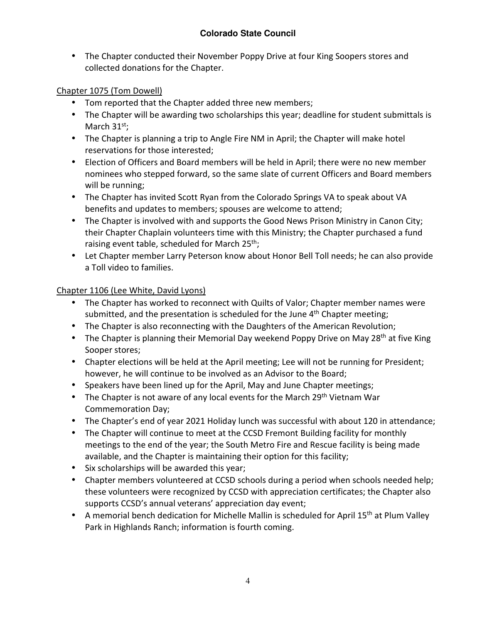• The Chapter conducted their November Poppy Drive at four King Soopers stores and collected donations for the Chapter.

# Chapter 1075 (Tom Dowell)

- Tom reported that the Chapter added three new members;
- The Chapter will be awarding two scholarships this year; deadline for student submittals is March  $31^{st}$ ;
- The Chapter is planning a trip to Angle Fire NM in April; the Chapter will make hotel reservations for those interested;
- Election of Officers and Board members will be held in April; there were no new member nominees who stepped forward, so the same slate of current Officers and Board members will be running;
- The Chapter has invited Scott Ryan from the Colorado Springs VA to speak about VA benefits and updates to members; spouses are welcome to attend;
- The Chapter is involved with and supports the Good News Prison Ministry in Canon City; their Chapter Chaplain volunteers time with this Ministry; the Chapter purchased a fund raising event table, scheduled for March 25<sup>th</sup>;
- Let Chapter member Larry Peterson know about Honor Bell Toll needs; he can also provide a Toll video to families.

# Chapter 1106 (Lee White, David Lyons)

- The Chapter has worked to reconnect with Quilts of Valor; Chapter member names were submitted, and the presentation is scheduled for the June  $4<sup>th</sup>$  Chapter meeting;
- The Chapter is also reconnecting with the Daughters of the American Revolution;
- The Chapter is planning their Memorial Day weekend Poppy Drive on May 28<sup>th</sup> at five King Sooper stores;
- Chapter elections will be held at the April meeting; Lee will not be running for President; however, he will continue to be involved as an Advisor to the Board;
- Speakers have been lined up for the April, May and June Chapter meetings;
- The Chapter is not aware of any local events for the March 29<sup>th</sup> Vietnam War Commemoration Day;
- The Chapter's end of year 2021 Holiday lunch was successful with about 120 in attendance;
- The Chapter will continue to meet at the CCSD Fremont Building facility for monthly meetings to the end of the year; the South Metro Fire and Rescue facility is being made available, and the Chapter is maintaining their option for this facility;
- Six scholarships will be awarded this year;
- Chapter members volunteered at CCSD schools during a period when schools needed help; these volunteers were recognized by CCSD with appreciation certificates; the Chapter also supports CCSD's annual veterans' appreciation day event;
- A memorial bench dedication for Michelle Mallin is scheduled for April 15<sup>th</sup> at Plum Valley Park in Highlands Ranch; information is fourth coming.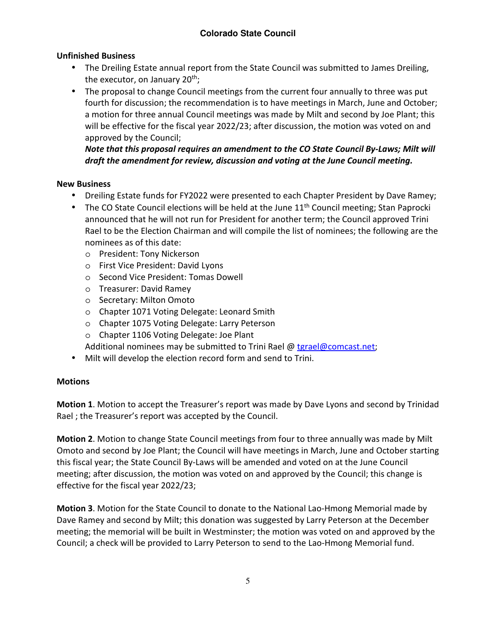# **Unfinished Business**

- The Dreiling Estate annual report from the State Council was submitted to James Dreiling, the executor, on January  $20<sup>th</sup>$ ;
- The proposal to change Council meetings from the current four annually to three was put fourth for discussion; the recommendation is to have meetings in March, June and October; a motion for three annual Council meetings was made by Milt and second by Joe Plant; this will be effective for the fiscal year 2022/23; after discussion, the motion was voted on and approved by the Council;

*Note that this proposal requires an amendment to the CO State Council By-Laws; Milt will draft the amendment for review, discussion and voting at the June Council meeting.* 

### **New Business**

- Dreiling Estate funds for FY2022 were presented to each Chapter President by Dave Ramey;
- The CO State Council elections will be held at the June  $11<sup>th</sup>$  Council meeting; Stan Paprocki announced that he will not run for President for another term; the Council approved Trini Rael to be the Election Chairman and will compile the list of nominees; the following are the nominees as of this date:
	- o President: Tony Nickerson
	- o First Vice President: David Lyons
	- o Second Vice President: Tomas Dowell
	- o Treasurer: David Ramey
	- o Secretary: Milton Omoto
	- o Chapter 1071 Voting Delegate: Leonard Smith
	- o Chapter 1075 Voting Delegate: Larry Peterson
	- o Chapter 1106 Voting Delegate: Joe Plant

Additional nominees may be submitted to Trini Rael @ tgrael@comcast.net;

• Milt will develop the election record form and send to Trini.

# **Motions**

**Motion 1**. Motion to accept the Treasurer's report was made by Dave Lyons and second by Trinidad Rael ; the Treasurer's report was accepted by the Council.

**Motion 2**. Motion to change State Council meetings from four to three annually was made by Milt Omoto and second by Joe Plant; the Council will have meetings in March, June and October starting this fiscal year; the State Council By-Laws will be amended and voted on at the June Council meeting; after discussion, the motion was voted on and approved by the Council; this change is effective for the fiscal year 2022/23;

**Motion 3**. Motion for the State Council to donate to the National Lao-Hmong Memorial made by Dave Ramey and second by Milt; this donation was suggested by Larry Peterson at the December meeting; the memorial will be built in Westminster; the motion was voted on and approved by the Council; a check will be provided to Larry Peterson to send to the Lao-Hmong Memorial fund.